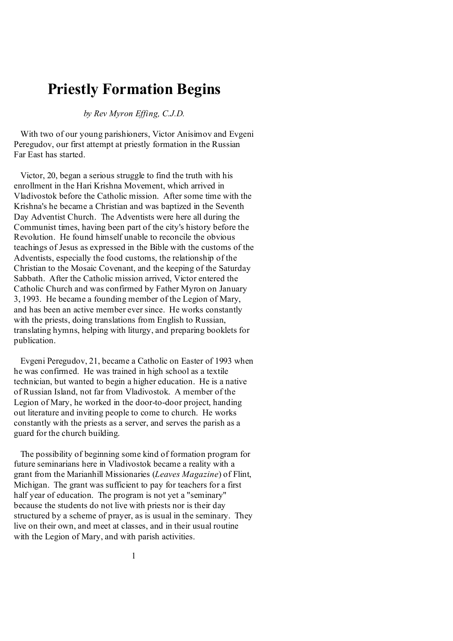# **Priestly Formation Begins**

*by Rev Myron Effing, C.J.D.*

 With two of our young parishioners, Victor Anisimov and Evgeni Peregudov, our first attempt at priestly formation in the Russian Far East has started.

 Victor, 20, began a serious struggle to find the truth with his enrollment in the Hari Krishna Movement, which arrived in Vladivostok before the Catholic mission. After some time with the Krishna's he became a Christian and was baptized in the Seventh Day Adventist Church. The Adventists were here all during the Communist times, having been part of the city's history before the Revolution. He found himself unable to reconcile the obvious teachings of Jesus as expressed in the Bible with the customs of the Adventists, especially the food customs, the relationship of the Christian to the Mosaic Covenant, and the keeping of the Saturday Sabbath. After the Catholic mission arrived, Victor entered the Catholic Church and was confirmed by Father Myron on January 3, 1993. He became a founding member of the Legion of Mary, and has been an active member ever since. He works constantly with the priests, doing translations from English to Russian, translating hymns, helping with liturgy, and preparing booklets for publication.

 Evgeni Peregudov, 21, became a Catholic on Easter of 1993 when he was confirmed. He was trained in high school as a textile technician, but wanted to begin a higher education. He is a native of Russian Island, not far from Vladivostok. A member of the Legion of Mary, he worked in the door-to-door project, handing out literature and inviting people to come to church. He works constantly with the priests as a server, and serves the parish as a guard for the church building.

 The possibility of beginning some kind of formation program for future seminarians here in Vladivostok became a reality with a grant from the Marianhill Missionaries (*Leaves Magazine*) of Flint, Michigan. The grant was sufficient to pay for teachers for a first half year of education. The program is not yet a "seminary" because the students do not live with priests nor is their day structured by a scheme of prayer, as is usual in the seminary. They live on their own, and meet at classes, and in their usual routine with the Legion of Mary, and with parish activities.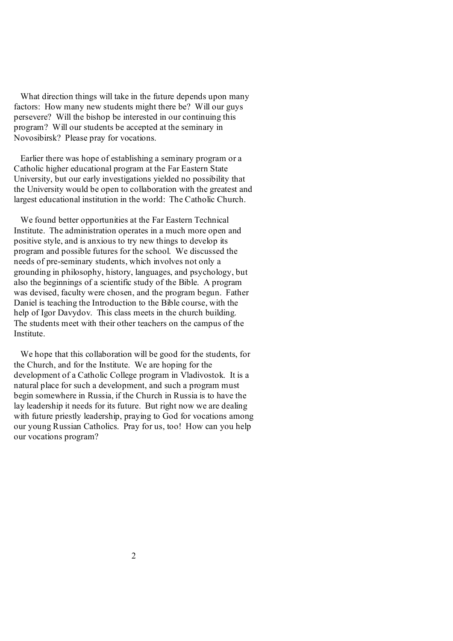What direction things will take in the future depends upon many factors: How many new students might there be? Will our guys persevere? Will the bishop be interested in our continuing this program? Will our students be accepted at the seminary in Novosibirsk? Please pray for vocations.

 Earlier there was hope of establishing a seminary program or a Catholic higher educational program at the Far Eastern State University, but our early investigations yielded no possibility that the University would be open to collaboration with the greatest and largest educational institution in the world: The Catholic Church.

 We found better opportunities at the Far Eastern Technical Institute. The administration operates in a much more open and positive style, and is anxious to try new things to develop its program and possible futures for the school. We discussed the needs of pre-seminary students, which involves not only a grounding in philosophy, history, languages, and psychology, but also the beginnings of a scientific study of the Bible. A program was devised, faculty were chosen, and the program begun. Father Daniel is teaching the Introduction to the Bible course, with the help of Igor Davydov. This class meets in the church building. The students meet with their other teachers on the campus of the **Institute** 

 We hope that this collaboration will be good for the students, for the Church, and for the Institute. We are hoping for the development of a Catholic College program in Vladivostok. It is a natural place for such a development, and such a program must begin somewhere in Russia, if the Church in Russia is to have the lay leadership it needs for its future. But right now we are dealing with future priestly leadership, praying to God for vocations among our young Russian Catholics. Pray for us, too! How can you help our vocations program?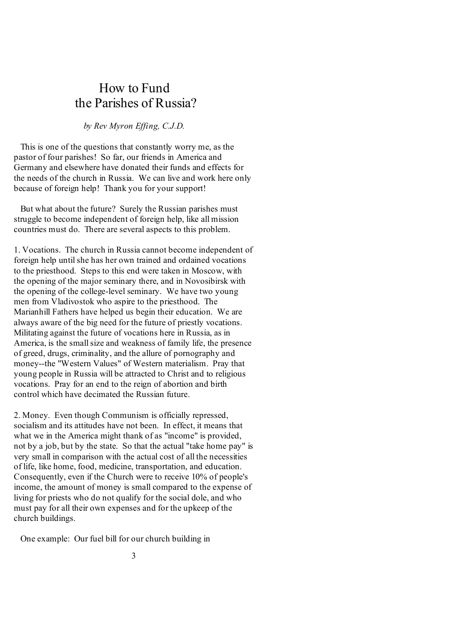# How to Fund the Parishes of Russia?

*by Rev Myron Effing, C.J.D.*

 This is one of the questions that constantly worry me, as the pastor of four parishes! So far, our friends in America and Germany and elsewhere have donated their funds and effects for the needs of the church in Russia. We can live and work here only because of foreign help! Thank you for your support!

 But what about the future? Surely the Russian parishes must struggle to become independent of foreign help, like all mission countries must do. There are several aspects to this problem.

1. Vocations. The church in Russia cannot become independent of foreign help untilshe has her own trained and ordained vocations to the priesthood. Steps to this end were taken in Moscow, with the opening of the major seminary there, and in Novosibirsk with the opening of the college-level seminary. We have two young men from Vladivostok who aspire to the priesthood. The Marianhill Fathers have helped us begin their education. We are always aware of the big need for the future of priestly vocations. Militating against the future of vocations here in Russia, as in America, is the smallsize and weakness of family life, the presence of greed, drugs, criminality, and the allure of pornography and money--the "Western Values" of Western materialism. Pray that young people in Russia will be attracted to Christ and to religious vocations. Pray for an end to the reign of abortion and birth control which have decimated the Russian future.

2. Money. Even though Communism is officially repressed, socialism and its attitudes have not been. In effect, it means that what we in the America might thank of as "income" is provided, not by a job, but by the state. So that the actual "take home pay" is very small in comparison with the actual cost of all the necessities of life, like home, food, medicine, transportation, and education. Consequently, even if the Church were to receive 10% of people's income, the amount of money is small compared to the expense of living for priests who do not qualify for the social dole, and who must pay for all their own expenses and for the upkeep of the church buildings.

One example: Our fuel bill for our church building in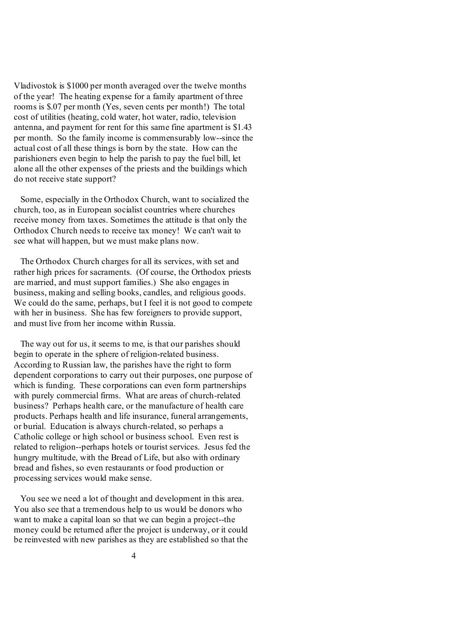Vladivostok is \$1000 per month averaged over the twelve months of the year! The heating expense for a family apartment of three rooms is \$.07 per month (Yes, seven cents per month!) The total cost of utilities (heating, cold water, hot water, radio, television antenna, and payment for rent for this same fine apartment is \$1.43 per month. So the family income is commensurably low--since the actual cost of all these things is born by the state. How can the parishioners even begin to help the parish to pay the fuel bill, let alone all the other expenses of the priests and the buildings which do not receive state support?

 Some, especially in the Orthodox Church, want to socialized the church, too, as in European socialist countries where churches receive money from taxes. Sometimes the attitude is that only the Orthodox Church needs to receive tax money! We can't wait to see what will happen, but we must make plans now.

 The Orthodox Church charges for all its services, with set and rather high prices for sacraments. (Of course, the Orthodox priests are married, and must support families.) She also engages in business, making and selling books, candles, and religious goods. We could do the same, perhaps, but I feel it is not good to compete with her in business. She has few foreigners to provide support, and must live from her income within Russia.

 The way out for us, it seems to me, is that our parishes should begin to operate in the sphere of religion-related business. According to Russian law, the parishes have the right to form dependent corporations to carry out their purposes, one purpose of which is funding. These corporations can even form partnerships with purely commercial firms. What are areas of church-related business? Perhaps health care, or the manufacture of health care products. Perhaps health and life insurance, funeral arrangements, or burial. Education is always church-related, so perhaps a Catholic college or high school or business school. Even rest is related to religion--perhaps hotels or tourist services. Jesus fed the hungry multitude, with the Bread of Life, but also with ordinary bread and fishes, so even restaurants or food production or processing services would make sense.

 You see we need a lot of thought and development in this area. You also see that a tremendous help to us would be donors who want to make a capital loan so that we can begin a project--the money could be returned after the project is underway, or it could be reinvested with new parishes as they are established so that the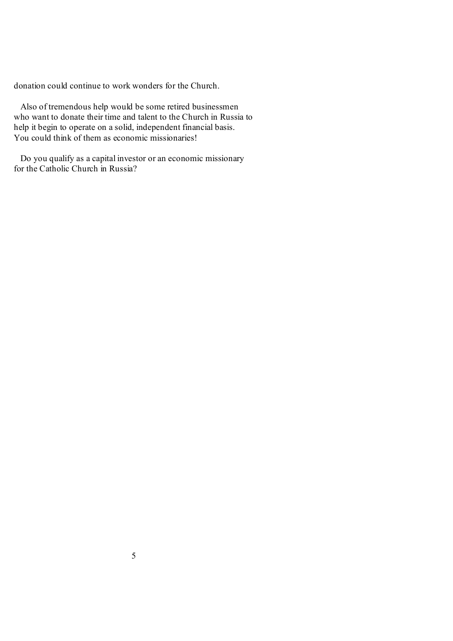donation could continue to work wonders for the Church.

 Also of tremendous help would be some retired businessmen who want to donate their time and talent to the Church in Russia to help it begin to operate on a solid, independent financial basis. You could think of them as economic missionaries!

 Do you qualify as a capital investor or an economic missionary for the Catholic Church in Russia?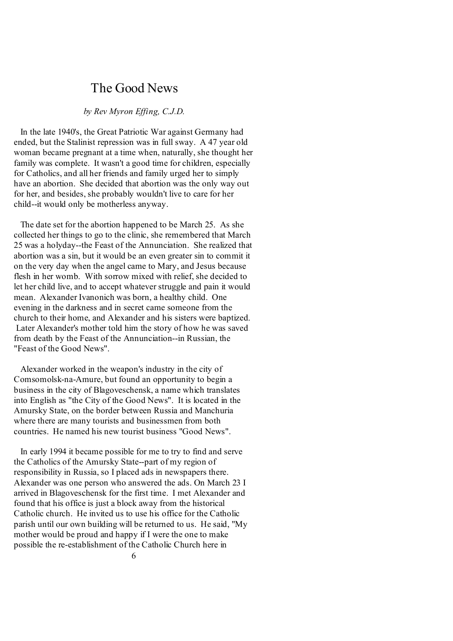# The Good News

#### *by Rev Myron Effing, C.J.D.*

 In the late 1940's, the Great Patriotic War against Germany had ended, but the Stalinist repression was in full sway. A 47 year old woman became pregnant at a time when, naturally, she thought her family was complete. It wasn't a good time for children, especially for Catholics, and all her friends and family urged her to simply have an abortion. She decided that abortion was the only way out for her, and besides, she probably wouldn't live to care for her child--it would only be motherless anyway.

 The date set for the abortion happened to be March 25. As she collected her things to go to the clinic, she remembered that March 25 was a holyday--the Feast of the Annunciation. She realized that abortion was a sin, but it would be an even greater sin to commit it on the very day when the angel came to Mary, and Jesus because flesh in her womb. With sorrow mixed with relief, she decided to let her child live, and to accept whatever struggle and pain it would mean. Alexander Ivanonich was born, a healthy child. One evening in the darkness and in secret came someone from the church to their home, and Alexander and his sisters were baptized. Later Alexander's mother told him the story of how he was saved from death by the Feast of the Annunciation--in Russian, the "Feast of the Good News".

 Alexander worked in the weapon's industry in the city of Comsomolsk-na-Amure, but found an opportunity to begin a business in the city of Blagoveschensk, a name which translates into English as "the City of the Good News". It is located in the Amursky State, on the border between Russia and Manchuria where there are many tourists and businessmen from both countries. He named his new tourist business "Good News".

 In early 1994 it became possible for me to try to find and serve the Catholics of the Amursky State--part of my region of responsibility in Russia, so I placed ads in newspapers there. Alexander was one person who answered the ads. On March 23 I arrived in Blagoveschensk for the first time. I met Alexander and found that his office is just a block away from the historical Catholic church. He invited us to use his office for the Catholic parish until our own building will be returned to us. He said, "My mother would be proud and happy if I were the one to make possible the re-establishment of the Catholic Church here in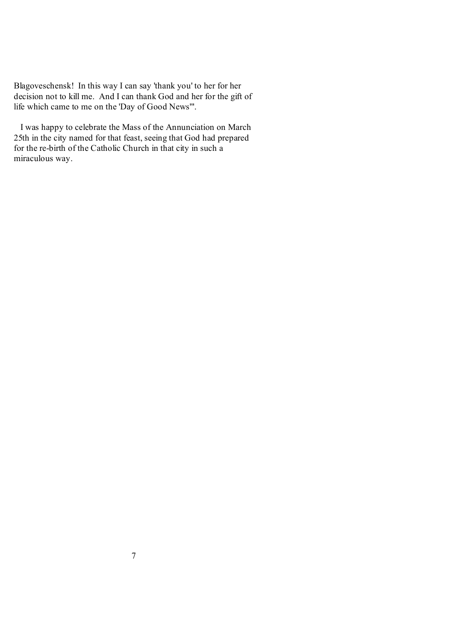Blagoveschensk! In this way I can say 'thank you' to her for her decision not to kill me. And I can thank God and her for the gift of life which came to me on the 'Day of Good News'".

 I was happy to celebrate the Mass of the Annunciation on March 25th in the city named for that feast, seeing that God had prepared for the re-birth of the Catholic Church in that city in such a miraculous way.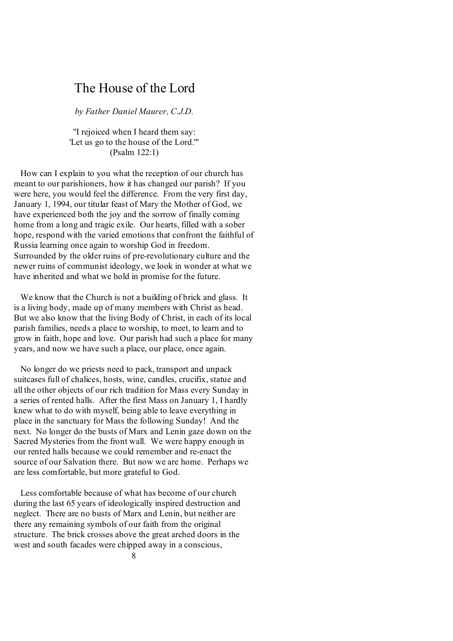# The House of the Lord

*by Father Daniel Maurer, C.J.D.*

"I rejoiced when I heard them say: 'Let us go to the house of the Lord.'" (Psalm 122:1)

 How can I explain to you what the reception of our church has meant to our parishioners, how it has changed our parish? If you were here, you would feel the difference. From the very first day, January 1, 1994, our titular feast of Mary the Mother of God, we have experienced both the joy and the sorrow of finally coming home from a long and tragic exile. Our hearts, filled with a sober hope, respond with the varied emotions that confront the faithful of Russia learning once again to worship God in freedom. Surrounded by the older ruins of pre-revolutionary culture and the newer ruins of communist ideology, we look in wonder at what we have inherited and what we hold in promise for the future.

 We know that the Church is not a building of brick and glass. It is a living body, made up of many members with Christ as head. But we also know that the living Body of Christ, in each of its local parish families, needs a place to worship, to meet, to learn and to grow in faith, hope and love. Our parish had such a place for many years, and now we have such a place, our place, once again.

 No longer do we priests need to pack, transport and unpack suitcases full of chalices, hosts, wine, candles, crucifix, statue and all the other objects of our rich tradition for Mass every Sunday in a series of rented halls. After the first Mass on January 1, I hardly knew what to do with myself, being able to leave everything in place in the sanctuary for Mass the following Sunday! And the next. No longer do the busts of Marx and Lenin gaze down on the Sacred Mysteries from the front wall. We were happy enough in our rented halls because we could remember and re-enact the source of our Salvation there. But now we are home. Perhaps we are less comfortable, but more grateful to God.

 Less comfortable because of what has become of our church during the last 65 years of ideologically inspired destruction and neglect. There are no busts of Marx and Lenin, but neither are there any remaining symbols of our faith from the original structure. The brick crosses above the great arched doors in the west and south facades were chipped away in a conscious,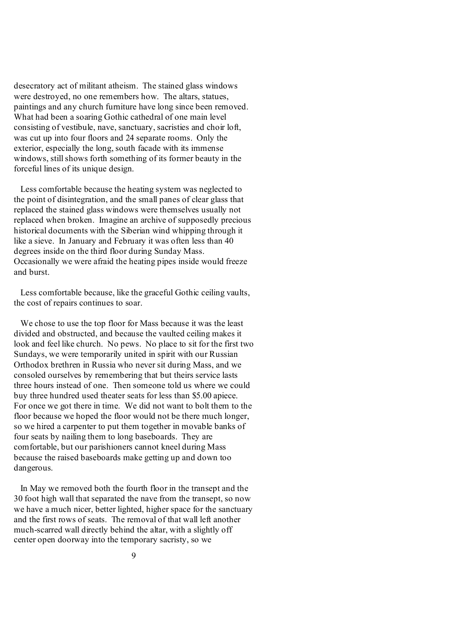desecratory act of militant atheism. The stained glass windows were destroyed, no one remembers how. The altars, statues, paintings and any church furniture have long since been removed. What had been a soaring Gothic cathedral of one main level consisting of vestibule, nave, sanctuary, sacristies and choir loft, was cut up into four floors and 24 separate rooms. Only the exterior, especially the long, south facade with its immense windows, still shows forth something of its former beauty in the forceful lines of its unique design.

 Less comfortable because the heating system was neglected to the point of disintegration, and the small panes of clear glass that replaced the stained glass windows were themselves usually not replaced when broken. Imagine an archive of supposedly precious historical documents with the Siberian wind whipping through it like a sieve. In January and February it was often less than 40 degrees inside on the third floor during Sunday Mass. Occasionally we were afraid the heating pipes inside would freeze and burst.

 Less comfortable because, like the graceful Gothic ceiling vaults, the cost of repairs continues to soar.

 We chose to use the top floor for Mass because it was the least divided and obstructed, and because the vaulted ceiling makes it look and feel like church. No pews. No place to sit for the first two Sundays, we were temporarily united in spirit with our Russian Orthodox brethren in Russia who never sit during Mass, and we consoled ourselves by remembering that but theirs service lasts three hours instead of one. Then someone told us where we could buy three hundred used theater seats for less than \$5.00 apiece. For once we got there in time. We did not want to bolt them to the floor because we hoped the floor would not be there much longer, so we hired a carpenter to put them together in movable banks of four seats by nailing them to long baseboards. They are comfortable, but our parishioners cannot kneel during Mass because the raised baseboards make getting up and down too dangerous.

 In May we removed both the fourth floor in the transept and the 30 foot high wall that separated the nave from the transept, so now we have a much nicer, better lighted, higher space for the sanctuary and the first rows of seats. The removal of that wall left another much-scarred wall directly behind the altar, with a slightly off center open doorway into the temporary sacristy, so we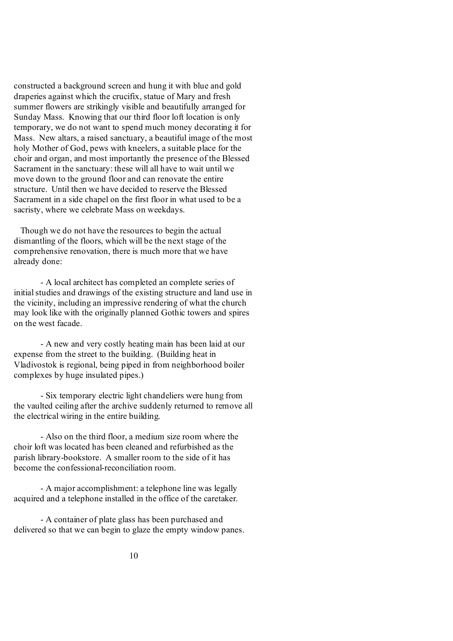constructed a background screen and hung it with blue and gold draperies against which the crucifix, statue of Mary and fresh summer flowers are strikingly visible and beautifully arranged for Sunday Mass. Knowing that our third floor loft location is only temporary, we do not want to spend much money decorating it for Mass. New altars, a raised sanctuary, a beautiful image of the most holy Mother of God, pews with kneelers, a suitable place for the choir and organ, and most importantly the presence of the Blessed Sacrament in the sanctuary: these will all have to wait until we move down to the ground floor and can renovate the entire structure. Until then we have decided to reserve the Blessed Sacrament in a side chapel on the first floor in what used to be a sacristy, where we celebrate Mass on weekdays.

 Though we do not have the resources to begin the actual dismantling of the floors, which will be the next stage of the comprehensive renovation, there is much more that we have already done:

- A local architect has completed an complete series of initial studies and drawings of the existing structure and land use in the vicinity, including an impressive rendering of what the church may look like with the originally planned Gothic towers and spires on the west facade.

- A new and very costly heating main has been laid at our expense from the street to the building. (Building heat in Vladivostok is regional, being piped in from neighborhood boiler complexes by huge insulated pipes.)

- Six temporary electric light chandeliers were hung from the vaulted ceiling after the archive suddenly returned to remove all the electrical wiring in the entire building.

- Also on the third floor, a medium size room where the choir loft was located has been cleaned and refurbished as the parish library-bookstore. A smaller room to the side of it has become the confessional-reconciliation room.

- A major accomplishment: a telephone line was legally acquired and a telephone installed in the office of the caretaker.

- A container of plate glass has been purchased and delivered so that we can begin to glaze the empty window panes.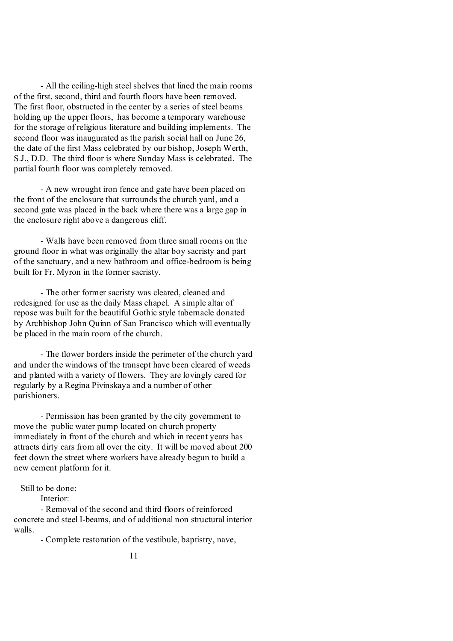- All the ceiling-high steel shelves that lined the main rooms of the first, second, third and fourth floors have been removed. The first floor, obstructed in the center by a series of steel beams holding up the upper floors, has become a temporary warehouse for the storage of religious literature and building implements. The second floor was inaugurated as the parish social hall on June 26, the date of the first Mass celebrated by our bishop, Joseph Werth, S.J., D.D. The third floor is where Sunday Mass is celebrated. The partial fourth floor was completely removed.

- A new wrought iron fence and gate have been placed on the front of the enclosure that surrounds the church yard, and a second gate was placed in the back where there was a large gap in the enclosure right above a dangerous cliff.

- Walls have been removed from three small rooms on the ground floor in what was originally the altar boy sacristy and part of the sanctuary, and a new bathroom and office-bedroom is being built for Fr. Myron in the former sacristy.

- The other former sacristy was cleared, cleaned and redesigned for use as the daily Mass chapel. A simple altar of repose was built for the beautiful Gothic style tabernacle donated by Archbishop John Quinn of San Francisco which will eventually be placed in the main room of the church.

- The flower borders inside the perimeter of the church yard and under the windows of the transept have been cleared of weeds and planted with a variety of flowers. They are lovingly cared for regularly by a Regina Pivinskaya and a number of other parishioners.

- Permission has been granted by the city government to move the public water pump located on church property immediately in front of the church and which in recent years has attracts dirty cars from all over the city. It will be moved about 200 feet down the street where workers have already begun to build a new cement platform for it.

Still to be done:

Interior:

- Removal of the second and third floors of reinforced concrete and steel I-beams, and of additional non structural interior walls.

- Complete restoration of the vestibule, baptistry, nave,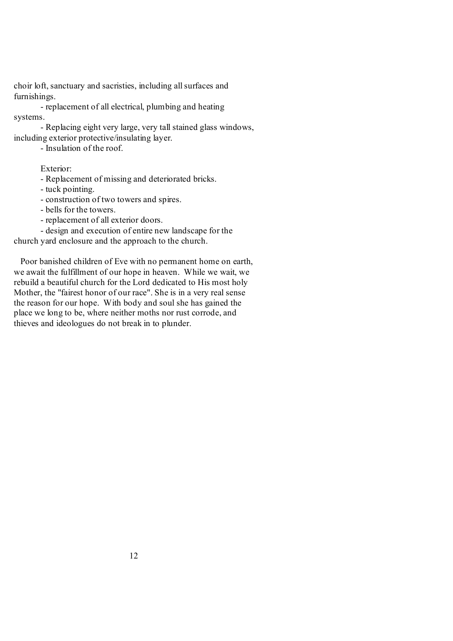choir loft, sanctuary and sacristies, including allsurfaces and furnishings.

- replacement of all electrical, plumbing and heating systems.

- Replacing eight very large, very tall stained glass windows, including exterior protective/insulating layer.

- Insulation of the roof.

Exterior:

- Replacement of missing and deteriorated bricks.

- tuck pointing.

- construction of two towers and spires.

- bells for the towers.

- replacement of all exterior doors.

- design and execution of entire new landscape for the

church yard enclosure and the approach to the church.

 Poor banished children of Eve with no permanent home on earth, we await the fulfillment of our hope in heaven. While we wait, we rebuild a beautiful church for the Lord dedicated to His most holy Mother, the "fairest honor of our race". She is in a very real sense the reason for our hope. With body and soul she has gained the place we long to be, where neither moths nor rust corrode, and thieves and ideologues do not break in to plunder.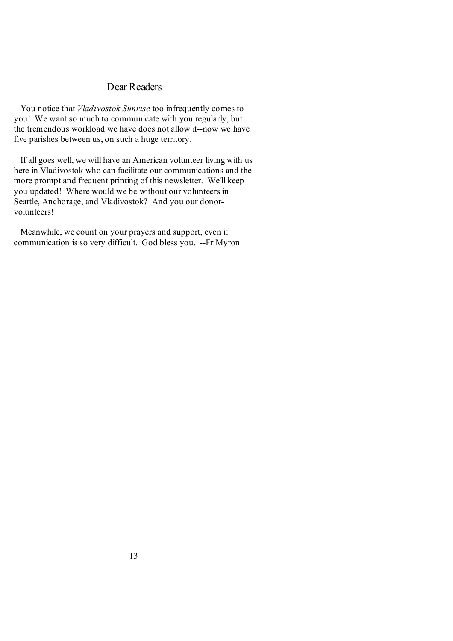### Dear Readers

 You notice that *Vladivostok Sunrise* too infrequently comes to you! We want so much to communicate with you regularly, but the tremendous workload we have does not allow it--now we have five parishes between us, on such a huge territory.

 If all goes well, we will have an American volunteer living with us here in Vladivostok who can facilitate our communications and the more prompt and frequent printing of this newsletter. We'll keep you updated! Where would we be without our volunteers in Seattle, Anchorage, and Vladivostok? And you our donorvolunteers!

 Meanwhile, we count on your prayers and support, even if communication is so very difficult. God bless you. --Fr Myron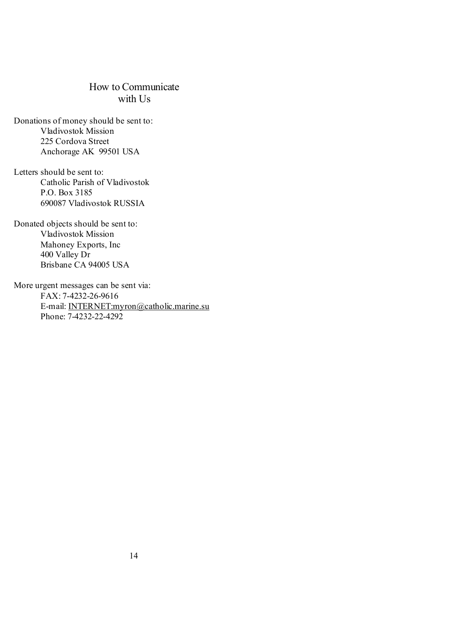### How to Communicate with U<sub>s</sub>

Donations of money should be sent to: Vladivostok Mission 225 Cordova Street Anchorage AK 99501 USA

Letters should be sent to: Catholic Parish of Vladivostok P.O. Box 3185 690087 Vladivostok RUSSIA

Donated objects should be sent to: Vladivostok Mission Mahoney Exports, Inc 400 Valley Dr Brisbane CA 94005 USA

More urgent messages can be sent via: FAX: 7-4232-26-9616 E-mail: [INTERNET:myron@catholic.marine.su](mailto:INTERNET:myron@catholic.marine.su) Phone: 7-4232-22-4292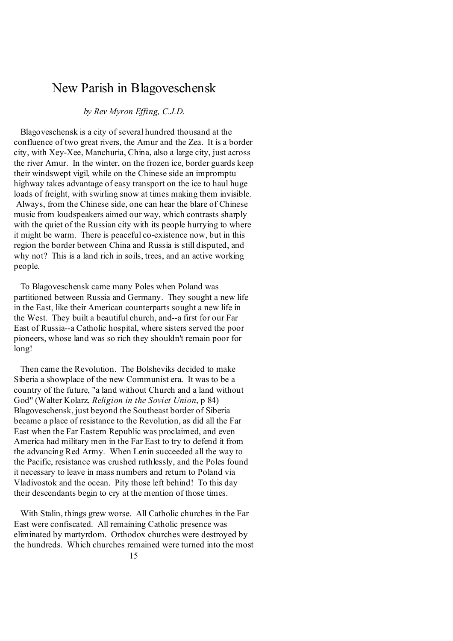## New Parish in Blagoveschensk

### *by Rev Myron Effing, C.J.D.*

 Blagoveschensk is a city of several hundred thousand at the confluence of two great rivers, the Amur and the Zea. It is a border city, with Xey-Xee, Manchuria, China, also a large city, just across the river Amur. In the winter, on the frozen ice, border guards keep their windswept vigil, while on the Chinese side an impromptu highway takes advantage of easy transport on the ice to haul huge loads of freight, with swirling snow at times making them invisible. Always, from the Chinese side, one can hear the blare of Chinese music from loudspeakers aimed our way, which contrasts sharply with the quiet of the Russian city with its people hurrying to where it might be warm. There is peaceful co-existence now, but in this region the border between China and Russia is still disputed, and why not? This is a land rich in soils, trees, and an active working people.

 To Blagoveschensk came many Poles when Poland was partitioned between Russia and Germany. They sought a new life in the East, like their American counterparts sought a new life in the West. They built a beautiful church, and--a first for our Far East of Russia--a Catholic hospital, where sisters served the poor pioneers, whose land was so rich they shouldn't remain poor for long!

 Then came the Revolution. The Bolsheviks decided to make Siberia a showplace of the new Communist era. It was to be a country of the future, "a land without Church and a land without God" (Walter Kolarz, *Religion in the Soviet Union*, p 84) Blagoveschensk, just beyond the Southeast border of Siberia became a place of resistance to the Revolution, as did all the Far East when the Far Eastern Republic was proclaimed, and even America had military men in the Far East to try to defend it from the advancing Red Army. When Lenin succeeded all the way to the Pacific, resistance was crushed ruthlessly, and the Poles found it necessary to leave in mass numbers and return to Poland via Vladivostok and the ocean. Pity those left behind! To this day their descendants begin to cry at the mention of those times.

 With Stalin, things grew worse. All Catholic churches in the Far East were confiscated. All remaining Catholic presence was eliminated by martyrdom. Orthodox churches were destroyed by the hundreds. Which churches remained were turned into the most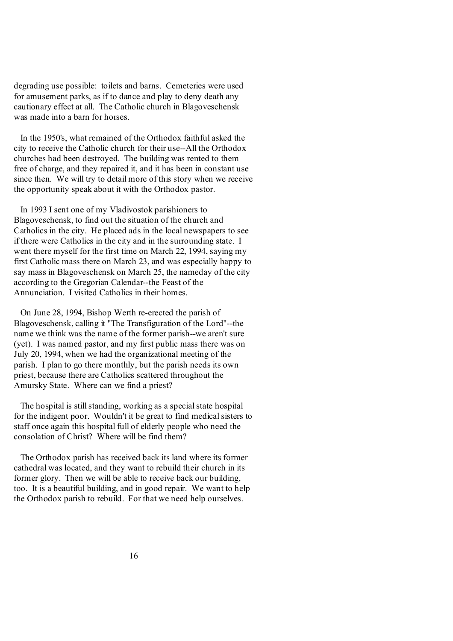degrading use possible: toilets and barns. Cemeteries were used for amusement parks, as if to dance and play to deny death any cautionary effect at all. The Catholic church in Blagoveschensk was made into a barn for horses.

 In the 1950's, what remained of the Orthodox faithful asked the city to receive the Catholic church for their use--All the Orthodox churches had been destroyed. The building was rented to them free of charge, and they repaired it, and it has been in constant use since then. We will try to detail more of this story when we receive the opportunity speak about it with the Orthodox pastor.

 In 1993 I sent one of my Vladivostok parishioners to Blagoveschensk, to find out the situation of the church and Catholics in the city. He placed ads in the local newspapers to see if there were Catholics in the city and in the surrounding state. I went there myself for the first time on March 22, 1994, saying my first Catholic mass there on March 23, and was especially happy to say mass in Blagoveschensk on March 25, the nameday of the city according to the Gregorian Calendar--the Feast of the Annunciation. I visited Catholics in their homes.

 On June 28, 1994, Bishop Werth re-erected the parish of Blagoveschensk, calling it "The Transfiguration of the Lord"--the name we think was the name of the former parish--we aren't sure (yet). I was named pastor, and my first public mass there was on July 20, 1994, when we had the organizational meeting of the parish. I plan to go there monthly, but the parish needs its own priest, because there are Catholics scattered throughout the Amursky State. Where can we find a priest?

The hospital is still standing, working as a special state hospital for the indigent poor. Wouldn't it be great to find medical sisters to staff once again this hospital full of elderly people who need the consolation of Christ? Where will be find them?

 The Orthodox parish has received back its land where its former cathedral was located, and they want to rebuild their church in its former glory. Then we will be able to receive back our building, too. It is a beautiful building, and in good repair. We want to help the Orthodox parish to rebuild. For that we need help ourselves.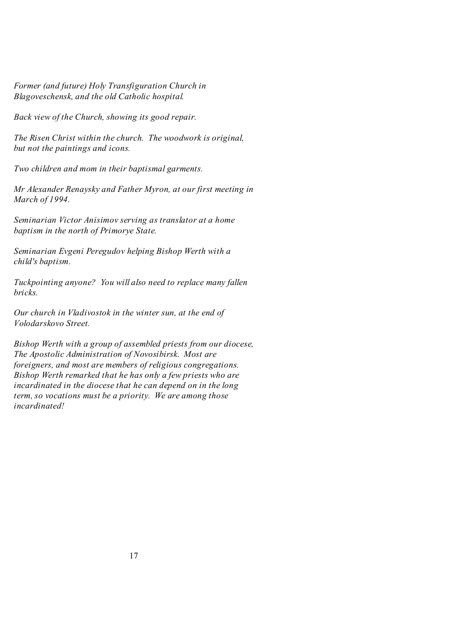*Former (and future) Holy Transfiguration Church in Blagoveschensk, and the old Catholic hospital.* 

*Back view of the Church, showing its good repair.* 

*The Risen Christ within the church. The woodwork is original, but not the paintings and icons.* 

*Two children and mom in their baptismal garments.* 

*Mr Alexander Renaysky and Father Myron, at our first meeting in March of 1994.*

*Seminarian Victor Anisimov serving as translator at a home baptism in the north of Primorye State.* 

*Seminarian Evgeni Peregudov helping Bishop Werth with a child's baptism.* 

*Tuckpointing anyone? You will also need to replace many fallen bricks.* 

*Our church in Vladivostok in the winter sun, at the end of Volodarskovo Street.* 

*Bishop Werth with a group of assembled priests from our diocese, The Apostolic Administration of Novosibirsk. Most are foreigners, and most are members of religious congregations. Bishop Werth remarked that he has only a few priests who are incardinated in the diocese that he can depend on in the long term, so vocations must be a priority. We are among those incardinated!*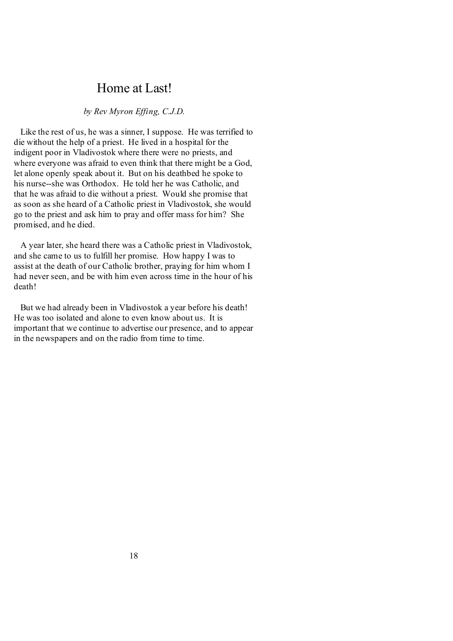## Home at Last!

### *by Rev Myron Effing, C.J.D.*

 Like the rest of us, he was a sinner, I suppose. He was terrified to die without the help of a priest. He lived in a hospital for the indigent poor in Vladivostok where there were no priests, and where everyone was afraid to even think that there might be a God, let alone openly speak about it. But on his deathbed he spoke to his nurse--she was Orthodox. He told her he was Catholic, and that he was afraid to die without a priest. Would she promise that as soon as she heard of a Catholic priest in Vladivostok, she would go to the priest and ask him to pray and offer mass for him? She promised, and he died.

 A year later, she heard there was a Catholic priest in Vladivostok, and she came to us to fulfill her promise. How happy I was to assist at the death of our Catholic brother, praying for him whom I had never seen, and be with him even across time in the hour of his death!

 But we had already been in Vladivostok a year before his death! He was too isolated and alone to even know about us. It is important that we continue to advertise our presence, and to appear in the newspapers and on the radio from time to time.